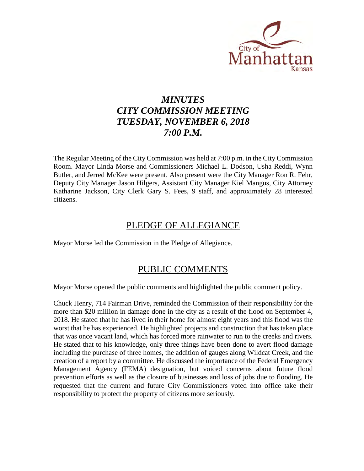

# *MINUTES CITY COMMISSION MEETING TUESDAY, NOVEMBER 6, 2018 7:00 P.M.*

The Regular Meeting of the City Commission was held at 7:00 p.m. in the City Commission Room. Mayor Linda Morse and Commissioners Michael L. Dodson, Usha Reddi, Wynn Butler, and Jerred McKee were present. Also present were the City Manager Ron R. Fehr, Deputy City Manager Jason Hilgers, Assistant City Manager Kiel Mangus, City Attorney Katharine Jackson, City Clerk Gary S. Fees, 9 staff, and approximately 28 interested citizens.

# PLEDGE OF ALLEGIANCE

Mayor Morse led the Commission in the Pledge of Allegiance.

## PUBLIC COMMENTS

Mayor Morse opened the public comments and highlighted the public comment policy.

Chuck Henry, 714 Fairman Drive, reminded the Commission of their responsibility for the more than \$20 million in damage done in the city as a result of the flood on September 4, 2018. He stated that he has lived in their home for almost eight years and this flood was the worst that he has experienced. He highlighted projects and construction that has taken place that was once vacant land, which has forced more rainwater to run to the creeks and rivers. He stated that to his knowledge, only three things have been done to avert flood damage including the purchase of three homes, the addition of gauges along Wildcat Creek, and the creation of a report by a committee. He discussed the importance of the Federal Emergency Management Agency (FEMA) designation, but voiced concerns about future flood prevention efforts as well as the closure of businesses and loss of jobs due to flooding. He requested that the current and future City Commissioners voted into office take their responsibility to protect the property of citizens more seriously.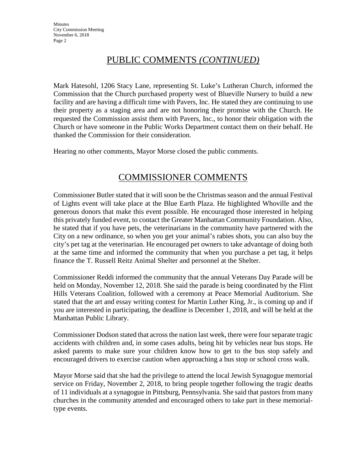# PUBLIC COMMENTS *(CONTINUED)*

Mark Hatesohl, 1206 Stacy Lane, representing St. Luke's Lutheran Church, informed the Commission that the Church purchased property west of Blueville Nursery to build a new facility and are having a difficult time with Pavers, Inc. He stated they are continuing to use their property as a staging area and are not honoring their promise with the Church. He requested the Commission assist them with Pavers, Inc., to honor their obligation with the Church or have someone in the Public Works Department contact them on their behalf. He thanked the Commission for their consideration.

Hearing no other comments, Mayor Morse closed the public comments.

## COMMISSIONER COMMENTS

Commissioner Butler stated that it will soon be the Christmas season and the annual Festival of Lights event will take place at the Blue Earth Plaza. He highlighted Whoville and the generous donors that make this event possible. He encouraged those interested in helping this privately funded event, to contact the Greater Manhattan Community Foundation. Also, he stated that if you have pets, the veterinarians in the community have partnered with the City on a new ordinance, so when you get your animal's rabies shots, you can also buy the city's pet tag at the veterinarian. He encouraged pet owners to take advantage of doing both at the same time and informed the community that when you purchase a pet tag, it helps finance the T. Russell Reitz Animal Shelter and personnel at the Shelter.

Commissioner Reddi informed the community that the annual Veterans Day Parade will be held on Monday, November 12, 2018. She said the parade is being coordinated by the Flint Hills Veterans Coalition, followed with a ceremony at Peace Memorial Auditorium. She stated that the art and essay writing contest for Martin Luther King, Jr., is coming up and if you are interested in participating, the deadline is December 1, 2018, and will be held at the Manhattan Public Library.

Commissioner Dodson stated that across the nation last week, there were four separate tragic accidents with children and, in some cases adults, being hit by vehicles near bus stops. He asked parents to make sure your children know how to get to the bus stop safely and encouraged drivers to exercise caution when approaching a bus stop or school cross walk.

Mayor Morse said that she had the privilege to attend the local Jewish Synagogue memorial service on Friday, November 2, 2018, to bring people together following the tragic deaths of 11 individuals at a synagogue in Pittsburg, Pennsylvania. She said that pastors from many churches in the community attended and encouraged others to take part in these memorialtype events.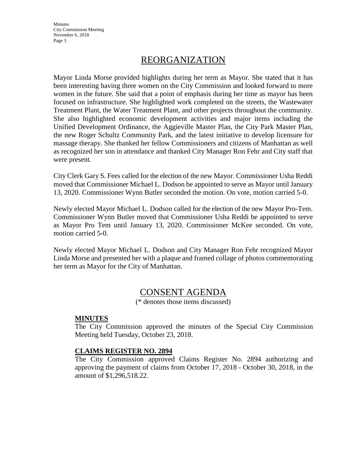**Minutes** City Commission Meeting November 6, 2018 Page 3

## REORGANIZATION

Mayor Linda Morse provided highlights during her term as Mayor. She stated that it has been interesting having three women on the City Commission and looked forward to more women in the future. She said that a point of emphasis during her time as mayor has been focused on infrastructure. She highlighted work completed on the streets, the Wastewater Treatment Plant, the Water Treatment Plant, and other projects throughout the community. She also highlighted economic development activities and major items including the Unified Development Ordinance, the Aggieville Master Plan, the City Park Master Plan, the new Roger Schultz Community Park, and the latest initiative to develop licensure for massage therapy. She thanked her fellow Commissioners and citizens of Manhattan as well as recognized her son in attendance and thanked City Manager Ron Fehr and City staff that were present.

City Clerk Gary S. Fees called for the election of the new Mayor. Commissioner Usha Reddi moved that Commissioner Michael L. Dodson be appointed to serve as Mayor until January 13, 2020. Commissioner Wynn Butler seconded the motion. On vote, motion carried 5-0.

Newly elected Mayor Michael L. Dodson called for the election of the new Mayor Pro-Tem. Commissioner Wynn Butler moved that Commissioner Usha Reddi be appointed to serve as Mayor Pro Tem until January 13, 2020. Commissioner McKee seconded. On vote, motion carried 5-0.

Newly elected Mayor Michael L. Dodson and City Manager Ron Fehr recognized Mayor Linda Morse and presented her with a plaque and framed collage of photos commemorating her term as Mayor for the City of Manhattan.

## CONSENT AGENDA

(\* denotes those items discussed)

#### **MINUTES**

The City Commission approved the minutes of the Special City Commission Meeting held Tuesday, October 23, 2018.

#### **CLAIMS REGISTER NO. 2894**

The City Commission approved Claims Register No. 2894 authorizing and approving the payment of claims from October 17, 2018 - October 30, 2018, in the amount of \$1,296,518.22.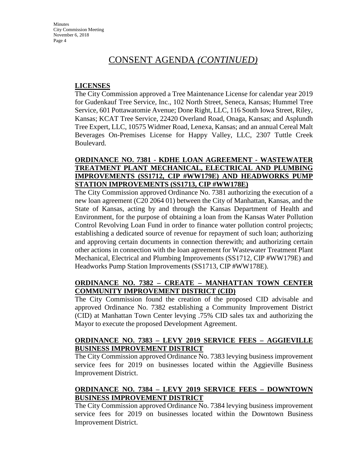#### **LICENSES**

The City Commission approved a Tree Maintenance License for calendar year 2019 for Gudenkauf Tree Service, Inc., 102 North Street, Seneca, Kansas; Hummel Tree Service, 601 Pottawatomie Avenue; Done Right, LLC, 116 South Iowa Street, Riley, Kansas; KCAT Tree Service, 22420 Overland Road, Onaga, Kansas; and Asplundh Tree Expert, LLC, 10575 Widmer Road, Lenexa, Kansas; and an annual Cereal Malt Beverages On-Premises License for Happy Valley, LLC, 2307 Tuttle Creek Boulevard.

### **ORDINANCE NO. 7381 - KDHE LOAN AGREEMENT - WASTEWATER TREATMENT PLANT MECHANICAL, ELECTRICAL AND PLUMBING IMPROVEMENTS (SS1712, CIP #WW179E) AND HEADWORKS PUMP STATION IMPROVEMENTS (SS1713, CIP #WW178E)**

The City Commission approved Ordinance No. 7381 authorizing the execution of a new loan agreement (C20 2064 01) between the City of Manhattan, Kansas, and the State of Kansas, acting by and through the Kansas Department of Health and Environment, for the purpose of obtaining a loan from the Kansas Water Pollution Control Revolving Loan Fund in order to finance water pollution control projects; establishing a dedicated source of revenue for repayment of such loan; authorizing and approving certain documents in connection therewith; and authorizing certain other actions in connection with the loan agreement for Wastewater Treatment Plant Mechanical, Electrical and Plumbing Improvements (SS1712, CIP #WW179E) and Headworks Pump Station Improvements (SS1713, CIP #WW178E).

### **ORDINANCE NO. 7382 – CREATE – MANHATTAN TOWN CENTER COMMUNITY IMPROVEMENT DISTRICT (CID)**

The City Commission found the creation of the proposed CID advisable and approved Ordinance No. 7382 establishing a Community Improvement District (CID) at Manhattan Town Center levying .75% CID sales tax and authorizing the Mayor to execute the proposed Development Agreement.

#### **ORDINANCE NO. 7383 – LEVY 2019 SERVICE FEES – AGGIEVILLE BUSINESS IMPROVEMENT DISTRICT**

The City Commission approved Ordinance No. 7383 levying business improvement service fees for 2019 on businesses located within the Aggieville Business Improvement District.

### **ORDINANCE NO. 7384 – LEVY 2019 SERVICE FEES – DOWNTOWN BUSINESS IMPROVEMENT DISTRICT**

The City Commission approved Ordinance No. 7384 levying business improvement service fees for 2019 on businesses located within the Downtown Business Improvement District.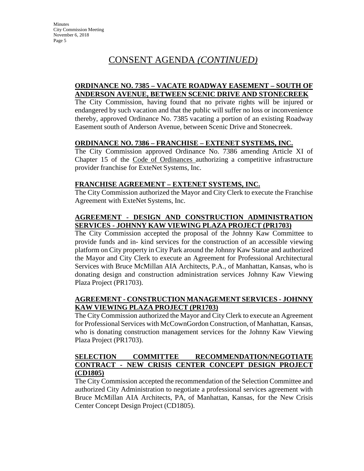#### **ORDINANCE NO. 7385 – VACATE ROADWAY EASEMENT – SOUTH OF ANDERSON AVENUE, BETWEEN SCENIC DRIVE AND STONECREEK**

The City Commission, having found that no private rights will be injured or endangered by such vacation and that the public will suffer no loss or inconvenience thereby, approved Ordinance No. 7385 vacating a portion of an existing Roadway Easement south of Anderson Avenue, between Scenic Drive and Stonecreek.

#### **ORDINANCE NO. 7386 – FRANCHISE – EXTENET SYSTEMS, INC.**

The City Commission approved Ordinance No. 7386 amending Article XI of Chapter 15 of the Code of Ordinances authorizing a competitive infrastructure provider franchise for ExteNet Systems, Inc.

#### **FRANCHISE AGREEMENT – EXTENET SYSTEMS, INC.**

The City Commission authorized the Mayor and City Clerk to execute the Franchise Agreement with ExteNet Systems, Inc.

### **AGREEMENT - DESIGN AND CONSTRUCTION ADMINISTRATION SERVICES - JOHNNY KAW VIEWING PLAZA PROJECT (PR1703)**

The City Commission accepted the proposal of the Johnny Kaw Committee to provide funds and in- kind services for the construction of an accessible viewing platform on City property in City Park around the Johnny Kaw Statue and authorized the Mayor and City Clerk to execute an Agreement for Professional Architectural Services with Bruce McMillan AIA Architects, P.A., of Manhattan, Kansas, who is donating design and construction administration services Johnny Kaw Viewing Plaza Project (PR1703).

#### **AGREEMENT - CONSTRUCTION MANAGEMENT SERVICES - JOHNNY KAW VIEWING PLAZA PROJECT (PR1703)**

The City Commission authorized the Mayor and City Clerk to execute an Agreement for Professional Services with McCownGordon Construction, of Manhattan, Kansas, who is donating construction management services for the Johnny Kaw Viewing Plaza Project (PR1703).

#### **SELECTION COMMITTEE RECOMMENDATION/NEGOTIATE CONTRACT - NEW CRISIS CENTER CONCEPT DESIGN PROJECT (CD1805)**

The City Commission accepted the recommendation of the Selection Committee and authorized City Administration to negotiate a professional services agreement with Bruce McMillan AIA Architects, PA, of Manhattan, Kansas, for the New Crisis Center Concept Design Project (CD1805).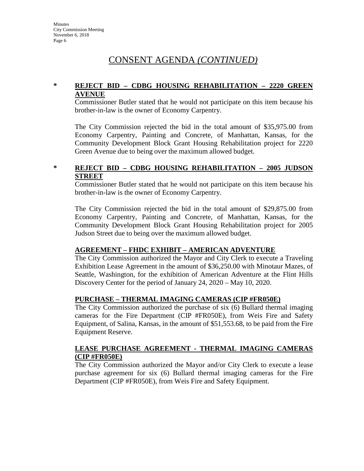### **\* REJECT BID – CDBG HOUSING REHABILITATION – 2220 GREEN AVENUE**

Commissioner Butler stated that he would not participate on this item because his brother-in-law is the owner of Economy Carpentry.

The City Commission rejected the bid in the total amount of \$35,975.00 from Economy Carpentry, Painting and Concrete, of Manhattan, Kansas, for the Community Development Block Grant Housing Rehabilitation project for 2220 Green Avenue due to being over the maximum allowed budget.

### **\* REJECT BID – CDBG HOUSING REHABILITATION – 2005 JUDSON STREET**

Commissioner Butler stated that he would not participate on this item because his brother-in-law is the owner of Economy Carpentry.

The City Commission rejected the bid in the total amount of \$29,875.00 from Economy Carpentry, Painting and Concrete, of Manhattan, Kansas, for the Community Development Block Grant Housing Rehabilitation project for 2005 Judson Street due to being over the maximum allowed budget.

#### **AGREEMENT – FHDC EXHIBIT – AMERICAN ADVENTURE**

The City Commission authorized the Mayor and City Clerk to execute a Traveling Exhibition Lease Agreement in the amount of \$36,250.00 with Minotaur Mazes, of Seattle, Washington, for the exhibition of American Adventure at the Flint Hills Discovery Center for the period of January 24, 2020 – May 10, 2020.

#### **PURCHASE – THERMAL IMAGING CAMERAS (CIP #FR050E)**

The City Commission authorized the purchase of six (6) Bullard thermal imaging cameras for the Fire Department (CIP #FR050E), from Weis Fire and Safety Equipment, of Salina, Kansas, in the amount of \$51,553.68, to be paid from the Fire Equipment Reserve.

#### **LEASE PURCHASE AGREEMENT - THERMAL IMAGING CAMERAS (CIP #FR050E)**

The City Commission authorized the Mayor and/or City Clerk to execute a lease purchase agreement for six (6) Bullard thermal imaging cameras for the Fire Department (CIP #FR050E), from Weis Fire and Safety Equipment.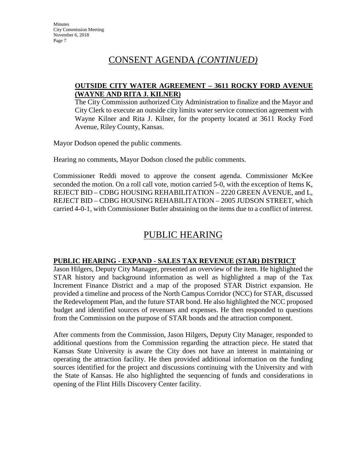#### **OUTSIDE CITY WATER AGREEMENT – 3611 ROCKY FORD AVENUE (WAYNE AND RITA J. KILNER)**

The City Commission authorized City Administration to finalize and the Mayor and City Clerk to execute an outside city limits water service connection agreement with Wayne Kilner and Rita J. Kilner, for the property located at 3611 Rocky Ford Avenue, Riley County, Kansas.

Mayor Dodson opened the public comments.

Hearing no comments, Mayor Dodson closed the public comments.

Commissioner Reddi moved to approve the consent agenda. Commissioner McKee seconded the motion. On a roll call vote, motion carried 5-0, with the exception of Items K, REJECT BID – CDBG HOUSING REHABILITATION – 2220 GREEN AVENUE, and L, REJECT BID – CDBG HOUSING REHABILITATION – 2005 JUDSON STREET, which carried 4-0-1, with Commissioner Butler abstaining on the items due to a conflict of interest.

# PUBLIC HEARING

#### **PUBLIC HEARING - EXPAND - SALES TAX REVENUE (STAR) DISTRICT**

Jason Hilgers, Deputy City Manager, presented an overview of the item. He highlighted the STAR history and background information as well as highlighted a map of the Tax Increment Finance District and a map of the proposed STAR District expansion. He provided a timeline and process of the North Campus Corridor (NCC) for STAR, discussed the Redevelopment Plan, and the future STAR bond. He also highlighted the NCC proposed budget and identified sources of revenues and expenses. He then responded to questions from the Commission on the purpose of STAR bonds and the attraction component.

After comments from the Commission, Jason Hilgers, Deputy City Manager, responded to additional questions from the Commission regarding the attraction piece. He stated that Kansas State University is aware the City does not have an interest in maintaining or operating the attraction facility. He then provided additional information on the funding sources identified for the project and discussions continuing with the University and with the State of Kansas. He also highlighted the sequencing of funds and considerations in opening of the Flint Hills Discovery Center facility.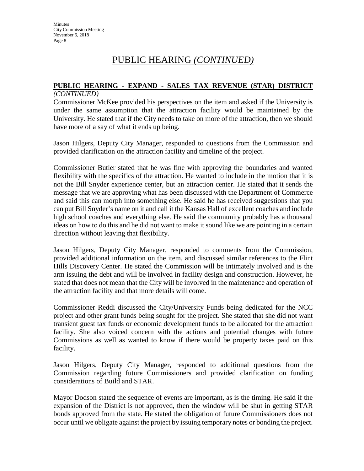# PUBLIC HEARING *(CONTINUED)*

## **PUBLIC HEARING - EXPAND - SALES TAX REVENUE (STAR) DISTRICT**

#### *(CONTINUED)*

Commissioner McKee provided his perspectives on the item and asked if the University is under the same assumption that the attraction facility would be maintained by the University. He stated that if the City needs to take on more of the attraction, then we should have more of a say of what it ends up being.

Jason Hilgers, Deputy City Manager, responded to questions from the Commission and provided clarification on the attraction facility and timeline of the project.

Commissioner Butler stated that he was fine with approving the boundaries and wanted flexibility with the specifics of the attraction. He wanted to include in the motion that it is not the Bill Snyder experience center, but an attraction center. He stated that it sends the message that we are approving what has been discussed with the Department of Commerce and said this can morph into something else. He said he has received suggestions that you can put Bill Snyder's name on it and call it the Kansas Hall of excellent coaches and include high school coaches and everything else. He said the community probably has a thousand ideas on how to do this and he did not want to make it sound like we are pointing in a certain direction without leaving that flexibility.

Jason Hilgers, Deputy City Manager, responded to comments from the Commission, provided additional information on the item, and discussed similar references to the Flint Hills Discovery Center. He stated the Commission will be intimately involved and is the arm issuing the debt and will be involved in facility design and construction. However, he stated that does not mean that the City will be involved in the maintenance and operation of the attraction facility and that more details will come.

Commissioner Reddi discussed the City/University Funds being dedicated for the NCC project and other grant funds being sought for the project. She stated that she did not want transient guest tax funds or economic development funds to be allocated for the attraction facility. She also voiced concern with the actions and potential changes with future Commissions as well as wanted to know if there would be property taxes paid on this facility.

Jason Hilgers, Deputy City Manager, responded to additional questions from the Commission regarding future Commissioners and provided clarification on funding considerations of Build and STAR.

Mayor Dodson stated the sequence of events are important, as is the timing. He said if the expansion of the District is not approved, then the window will be shut in getting STAR bonds approved from the state. He stated the obligation of future Commissioners does not occur until we obligate against the project by issuing temporary notes or bonding the project.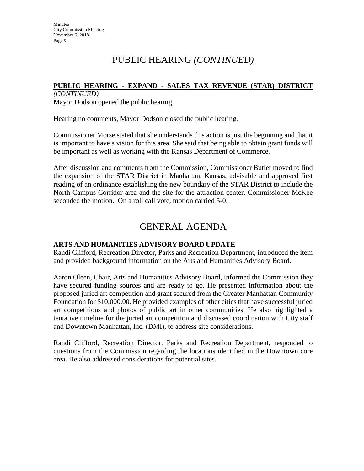# PUBLIC HEARING *(CONTINUED)*

#### **PUBLIC HEARING - EXPAND - SALES TAX REVENUE (STAR) DISTRICT**

*(CONTINUED)* Mayor Dodson opened the public hearing.

Hearing no comments, Mayor Dodson closed the public hearing.

Commissioner Morse stated that she understands this action is just the beginning and that it is important to have a vision for this area. She said that being able to obtain grant funds will be important as well as working with the Kansas Department of Commerce.

After discussion and comments from the Commission, Commissioner Butler moved to find the expansion of the STAR District in Manhattan, Kansas, advisable and approved first reading of an ordinance establishing the new boundary of the STAR District to include the North Campus Corridor area and the site for the attraction center. Commissioner McKee seconded the motion. On a roll call vote, motion carried 5-0.

# GENERAL AGENDA

## **ARTS AND HUMANITIES ADVISORY BOARD UPDATE**

Randi Clifford, Recreation Director, Parks and Recreation Department, introduced the item and provided background information on the Arts and Humanities Advisory Board.

Aaron Oleen, Chair, Arts and Humanities Advisory Board, informed the Commission they have secured funding sources and are ready to go. He presented information about the proposed juried art competition and grant secured from the Greater Manhattan Community Foundation for \$10,000.00. He provided examples of other cities that have successful juried art competitions and photos of public art in other communities. He also highlighted a tentative timeline for the juried art competition and discussed coordination with City staff and Downtown Manhattan, Inc. (DMI), to address site considerations.

Randi Clifford, Recreation Director, Parks and Recreation Department, responded to questions from the Commission regarding the locations identified in the Downtown core area. He also addressed considerations for potential sites.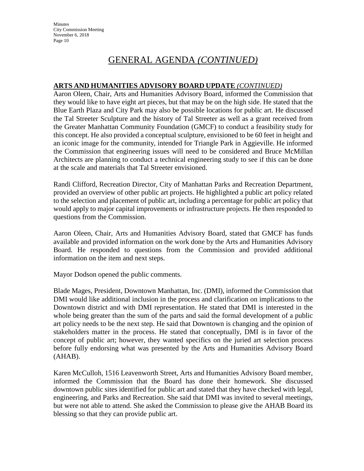**Minutes** City Commission Meeting November 6, 2018 Page 10

# GENERAL AGENDA *(CONTINUED)*

#### **ARTS AND HUMANITIES ADVISORY BOARD UPDATE** *(CONTINUED)*

Aaron Oleen, Chair, Arts and Humanities Advisory Board, informed the Commission that they would like to have eight art pieces, but that may be on the high side. He stated that the Blue Earth Plaza and City Park may also be possible locations for public art. He discussed the Tal Streeter Sculpture and the history of Tal Streeter as well as a grant received from the Greater Manhattan Community Foundation (GMCF) to conduct a feasibility study for this concept. He also provided a conceptual sculpture, envisioned to be 60 feet in height and an iconic image for the community, intended for Triangle Park in Aggieville. He informed the Commission that engineering issues will need to be considered and Bruce McMillan Architects are planning to conduct a technical engineering study to see if this can be done at the scale and materials that Tal Streeter envisioned.

Randi Clifford, Recreation Director, City of Manhattan Parks and Recreation Department, provided an overview of other public art projects. He highlighted a public art policy related to the selection and placement of public art, including a percentage for public art policy that would apply to major capital improvements or infrastructure projects. He then responded to questions from the Commission.

Aaron Oleen, Chair, Arts and Humanities Advisory Board, stated that GMCF has funds available and provided information on the work done by the Arts and Humanities Advisory Board. He responded to questions from the Commission and provided additional information on the item and next steps.

Mayor Dodson opened the public comments.

Blade Mages, President, Downtown Manhattan, Inc. (DMI), informed the Commission that DMI would like additional inclusion in the process and clarification on implications to the Downtown district and with DMI representation. He stated that DMI is interested in the whole being greater than the sum of the parts and said the formal development of a public art policy needs to be the next step. He said that Downtown is changing and the opinion of stakeholders matter in the process. He stated that conceptually, DMI is in favor of the concept of public art; however, they wanted specifics on the juried art selection process before fully endorsing what was presented by the Arts and Humanities Advisory Board (AHAB).

Karen McCulloh, 1516 Leavenworth Street, Arts and Humanities Advisory Board member, informed the Commission that the Board has done their homework. She discussed downtown public sites identified for public art and stated that they have checked with legal, engineering, and Parks and Recreation. She said that DMI was invited to several meetings, but were not able to attend. She asked the Commission to please give the AHAB Board its blessing so that they can provide public art.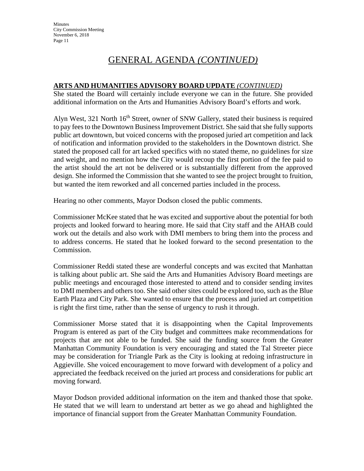# GENERAL AGENDA *(CONTINUED)*

### **ARTS AND HUMANITIES ADVISORY BOARD UPDATE** *(CONTINUED)*

She stated the Board will certainly include everyone we can in the future. She provided additional information on the Arts and Humanities Advisory Board's efforts and work.

Alyn West, 321 North  $16<sup>th</sup>$  Street, owner of SNW Gallery, stated their business is required to pay fees to the Downtown Business Improvement District. She said that she fully supports public art downtown, but voiced concerns with the proposed juried art competition and lack of notification and information provided to the stakeholders in the Downtown district. She stated the proposed call for art lacked specifics with no stated theme, no guidelines for size and weight, and no mention how the City would recoup the first portion of the fee paid to the artist should the art not be delivered or is substantially different from the approved design. She informed the Commission that she wanted to see the project brought to fruition, but wanted the item reworked and all concerned parties included in the process.

Hearing no other comments, Mayor Dodson closed the public comments.

Commissioner McKee stated that he was excited and supportive about the potential for both projects and looked forward to hearing more. He said that City staff and the AHAB could work out the details and also work with DMI members to bring them into the process and to address concerns. He stated that he looked forward to the second presentation to the Commission.

Commissioner Reddi stated these are wonderful concepts and was excited that Manhattan is talking about public art. She said the Arts and Humanities Advisory Board meetings are public meetings and encouraged those interested to attend and to consider sending invites to DMI members and others too. She said other sites could be explored too, such as the Blue Earth Plaza and City Park. She wanted to ensure that the process and juried art competition is right the first time, rather than the sense of urgency to rush it through.

Commissioner Morse stated that it is disappointing when the Capital Improvements Program is entered as part of the City budget and committees make recommendations for projects that are not able to be funded. She said the funding source from the Greater Manhattan Community Foundation is very encouraging and stated the Tal Streeter piece may be consideration for Triangle Park as the City is looking at redoing infrastructure in Aggieville. She voiced encouragement to move forward with development of a policy and appreciated the feedback received on the juried art process and considerations for public art moving forward.

Mayor Dodson provided additional information on the item and thanked those that spoke. He stated that we will learn to understand art better as we go ahead and highlighted the importance of financial support from the Greater Manhattan Community Foundation.